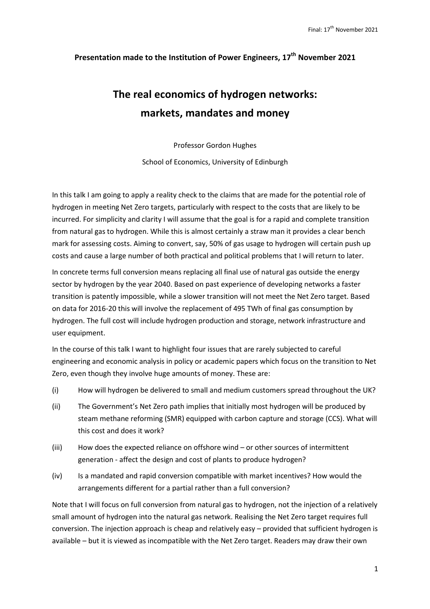## **Presentation made to the Institution of Power Engineers, 17th November 2021**

# **The real economics of hydrogen networks: markets, mandates and money**

Professor Gordon Hughes

School of Economics, University of Edinburgh

In this talk I am going to apply a reality check to the claims that are made for the potential role of hydrogen in meeting Net Zero targets, particularly with respect to the costs that are likely to be incurred. For simplicity and clarity I will assume that the goal is for a rapid and complete transition from natural gas to hydrogen. While this is almost certainly a straw man it provides a clear bench mark for assessing costs. Aiming to convert, say, 50% of gas usage to hydrogen will certain push up costs and cause a large number of both practical and political problems that I will return to later.

In concrete terms full conversion means replacing all final use of natural gas outside the energy sector by hydrogen by the year 2040. Based on past experience of developing networks a faster transition is patently impossible, while a slower transition will not meet the Net Zero target. Based on data for 2016-20 this will involve the replacement of 495 TWh of final gas consumption by hydrogen. The full cost will include hydrogen production and storage, network infrastructure and user equipment.

In the course of this talk I want to highlight four issues that are rarely subjected to careful engineering and economic analysis in policy or academic papers which focus on the transition to Net Zero, even though they involve huge amounts of money. These are:

- (i) How will hydrogen be delivered to small and medium customers spread throughout the UK?
- (ii) The Government's Net Zero path implies that initially most hydrogen will be produced by steam methane reforming (SMR) equipped with carbon capture and storage (CCS). What will this cost and does it work?
- (iii) How does the expected reliance on offshore wind or other sources of intermittent generation - affect the design and cost of plants to produce hydrogen?
- (iv) Is a mandated and rapid conversion compatible with market incentives? How would the arrangements different for a partial rather than a full conversion?

Note that I will focus on full conversion from natural gas to hydrogen, not the injection of a relatively small amount of hydrogen into the natural gas network. Realising the Net Zero target requires full conversion. The injection approach is cheap and relatively easy – provided that sufficient hydrogen is available – but it is viewed as incompatible with the Net Zero target. Readers may draw their own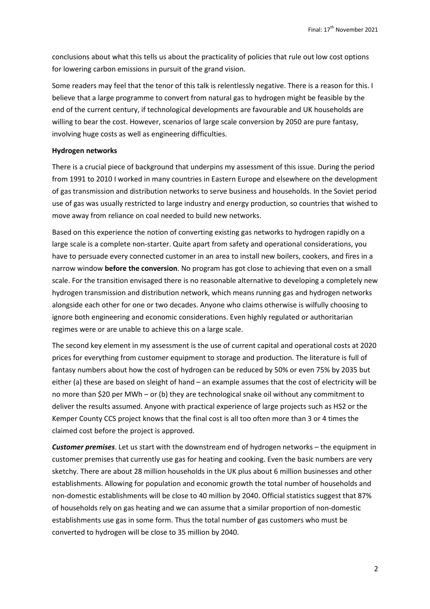conclusions about what this tells us about the practicality of policies that rule out low cost options for lowering carbon emissions in pursuit of the grand vision.

Some readers may feel that the tenor of this talk is relentlessly negative. There is a reason for this. I believe that a large programme to convert from natural gas to hydrogen might be feasible by the end of the current century, if technological developments are favourable and UK households are willing to bear the cost. However, scenarios of large scale conversion by 2050 are pure fantasy, involving huge costs as well as engineering difficulties.

### **Hydrogen networks**

There is a crucial piece of background that underpins my assessment of this issue. During the period from 1991 to 2010 I worked in many countries in Eastern Europe and elsewhere on the development of gas transmission and distribution networks to serve business and households. In the Soviet period use of gas was usually restricted to large industry and energy production, so countries that wished to move away from reliance on coal needed to build new networks.

Based on this experience the notion of converting existing gas networks to hydrogen rapidly on a large scale is a complete non-starter. Quite apart from safety and operational considerations, you have to persuade every connected customer in an area to install new boilers, cookers, and fires in a narrow window **before the conversion**. No program has got close to achieving that even on a small scale. For the transition envisaged there is no reasonable alternative to developing a completely new hydrogen transmission and distribution network, which means running gas and hydrogen networks alongside each other for one or two decades. Anyone who claims otherwise is wilfully choosing to ignore both engineering and economic considerations. Even highly regulated or authoritarian regimes were or are unable to achieve this on a large scale.

The second key element in my assessment is the use of current capital and operational costs at 2020 prices for everything from customer equipment to storage and production. The literature is full of fantasy numbers about how the cost of hydrogen can be reduced by 50% or even 75% by 2035 but either (a) these are based on sleight of hand – an example assumes that the cost of electricity will be no more than \$20 per MWh – or (b) they are technological snake oil without any commitment to deliver the results assumed. Anyone with practical experience of large projects such as HS2 or the Kemper County CCS project knows that the final cost is all too often more than 3 or 4 times the claimed cost before the project is approved.

*Customer premises*. Let us start with the downstream end of hydrogen networks – the equipment in customer premises that currently use gas for heating and cooking. Even the basic numbers are very sketchy. There are about 28 million households in the UK plus about 6 million businesses and other establishments. Allowing for population and economic growth the total number of households and non-domestic establishments will be close to 40 million by 2040. Official statistics suggest that 87% of households rely on gas heating and we can assume that a similar proportion of non-domestic establishments use gas in some form. Thus the total number of gas customers who must be converted to hydrogen will be close to 35 million by 2040.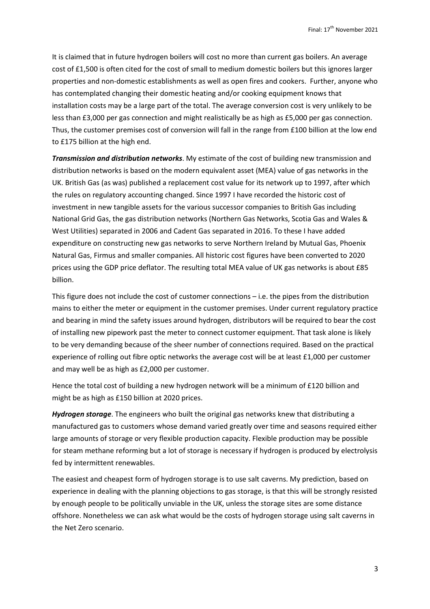It is claimed that in future hydrogen boilers will cost no more than current gas boilers. An average cost of £1,500 is often cited for the cost of small to medium domestic boilers but this ignores larger properties and non-domestic establishments as well as open fires and cookers. Further, anyone who has contemplated changing their domestic heating and/or cooking equipment knows that installation costs may be a large part of the total. The average conversion cost is very unlikely to be less than £3,000 per gas connection and might realistically be as high as £5,000 per gas connection. Thus, the customer premises cost of conversion will fall in the range from £100 billion at the low end to £175 billion at the high end.

*Transmission and distribution networks*. My estimate of the cost of building new transmission and distribution networks is based on the modern equivalent asset (MEA) value of gas networks in the UK. British Gas (as was) published a replacement cost value for its network up to 1997, after which the rules on regulatory accounting changed. Since 1997 I have recorded the historic cost of investment in new tangible assets for the various successor companies to British Gas including National Grid Gas, the gas distribution networks (Northern Gas Networks, Scotia Gas and Wales & West Utilities) separated in 2006 and Cadent Gas separated in 2016. To these I have added expenditure on constructing new gas networks to serve Northern Ireland by Mutual Gas, Phoenix Natural Gas, Firmus and smaller companies. All historic cost figures have been converted to 2020 prices using the GDP price deflator. The resulting total MEA value of UK gas networks is about £85 billion.

This figure does not include the cost of customer connections – i.e. the pipes from the distribution mains to either the meter or equipment in the customer premises. Under current regulatory practice and bearing in mind the safety issues around hydrogen, distributors will be required to bear the cost of installing new pipework past the meter to connect customer equipment. That task alone is likely to be very demanding because of the sheer number of connections required. Based on the practical experience of rolling out fibre optic networks the average cost will be at least £1,000 per customer and may well be as high as £2,000 per customer.

Hence the total cost of building a new hydrogen network will be a minimum of £120 billion and might be as high as £150 billion at 2020 prices.

*Hydrogen storage*. The engineers who built the original gas networks knew that distributing a manufactured gas to customers whose demand varied greatly over time and seasons required either large amounts of storage or very flexible production capacity. Flexible production may be possible for steam methane reforming but a lot of storage is necessary if hydrogen is produced by electrolysis fed by intermittent renewables.

The easiest and cheapest form of hydrogen storage is to use salt caverns. My prediction, based on experience in dealing with the planning objections to gas storage, is that this will be strongly resisted by enough people to be politically unviable in the UK, unless the storage sites are some distance offshore. Nonetheless we can ask what would be the costs of hydrogen storage using salt caverns in the Net Zero scenario.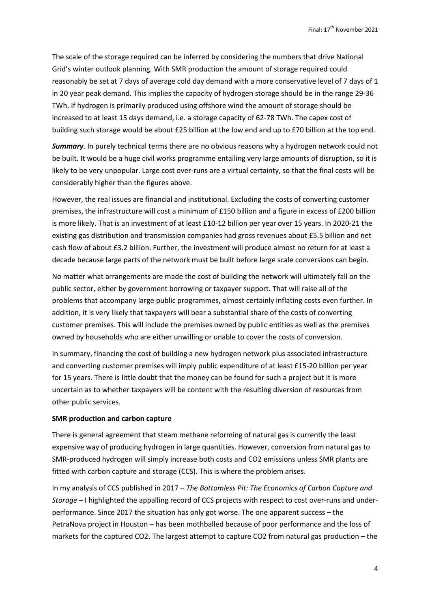The scale of the storage required can be inferred by considering the numbers that drive National Grid's winter outlook planning. With SMR production the amount of storage required could reasonably be set at 7 days of average cold day demand with a more conservative level of 7 days of 1 in 20 year peak demand. This implies the capacity of hydrogen storage should be in the range 29-36 TWh. If hydrogen is primarily produced using offshore wind the amount of storage should be increased to at least 15 days demand, i.e. a storage capacity of 62-78 TWh. The capex cost of building such storage would be about £25 billion at the low end and up to £70 billion at the top end.

*Summary*. In purely technical terms there are no obvious reasons why a hydrogen network could not be built. It would be a huge civil works programme entailing very large amounts of disruption, so it is likely to be very unpopular. Large cost over-runs are a virtual certainty, so that the final costs will be considerably higher than the figures above.

However, the real issues are financial and institutional. Excluding the costs of converting customer premises, the infrastructure will cost a minimum of £150 billion and a figure in excess of £200 billion is more likely. That is an investment of at least £10-12 billion per year over 15 years. In 2020-21 the existing gas distribution and transmission companies had gross revenues about £5.5 billion and net cash flow of about £3.2 billion. Further, the investment will produce almost no return for at least a decade because large parts of the network must be built before large scale conversions can begin.

No matter what arrangements are made the cost of building the network will ultimately fall on the public sector, either by government borrowing or taxpayer support. That will raise all of the problems that accompany large public programmes, almost certainly inflating costs even further. In addition, it is very likely that taxpayers will bear a substantial share of the costs of converting customer premises. This will include the premises owned by public entities as well as the premises owned by households who are either unwilling or unable to cover the costs of conversion.

In summary, financing the cost of building a new hydrogen network plus associated infrastructure and converting customer premises will imply public expenditure of at least £15-20 billion per year for 15 years. There is little doubt that the money can be found for such a project but it is more uncertain as to whether taxpayers will be content with the resulting diversion of resources from other public services.

### **SMR production and carbon capture**

There is general agreement that steam methane reforming of natural gas is currently the least expensive way of producing hydrogen in large quantities. However, conversion from natural gas to SMR-produced hydrogen will simply increase both costs and CO2 emissions unless SMR plants are fitted with carbon capture and storage (CCS). This is where the problem arises.

In my analysis of CCS published in 2017 – *The Bottomless Pit: The Economics of Carbon Capture and Storage* – I highlighted the appalling record of CCS projects with respect to cost over-runs and underperformance. Since 2017 the situation has only got worse. The one apparent success – the PetraNova project in Houston – has been mothballed because of poor performance and the loss of markets for the captured CO2. The largest attempt to capture CO2 from natural gas production – the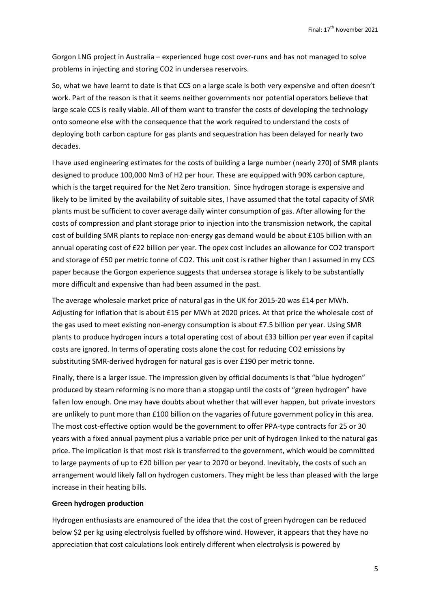Gorgon LNG project in Australia – experienced huge cost over-runs and has not managed to solve problems in injecting and storing CO2 in undersea reservoirs.

So, what we have learnt to date is that CCS on a large scale is both very expensive and often doesn't work. Part of the reason is that it seems neither governments nor potential operators believe that large scale CCS is really viable. All of them want to transfer the costs of developing the technology onto someone else with the consequence that the work required to understand the costs of deploying both carbon capture for gas plants and sequestration has been delayed for nearly two decades.

I have used engineering estimates for the costs of building a large number (nearly 270) of SMR plants designed to produce 100,000 Nm3 of H2 per hour. These are equipped with 90% carbon capture, which is the target required for the Net Zero transition. Since hydrogen storage is expensive and likely to be limited by the availability of suitable sites, I have assumed that the total capacity of SMR plants must be sufficient to cover average daily winter consumption of gas. After allowing for the costs of compression and plant storage prior to injection into the transmission network, the capital cost of building SMR plants to replace non-energy gas demand would be about £105 billion with an annual operating cost of £22 billion per year. The opex cost includes an allowance for CO2 transport and storage of £50 per metric tonne of CO2. This unit cost is rather higher than I assumed in my CCS paper because the Gorgon experience suggests that undersea storage is likely to be substantially more difficult and expensive than had been assumed in the past.

The average wholesale market price of natural gas in the UK for 2015-20 was £14 per MWh. Adjusting for inflation that is about £15 per MWh at 2020 prices. At that price the wholesale cost of the gas used to meet existing non-energy consumption is about £7.5 billion per year. Using SMR plants to produce hydrogen incurs a total operating cost of about £33 billion per year even if capital costs are ignored. In terms of operating costs alone the cost for reducing CO2 emissions by substituting SMR-derived hydrogen for natural gas is over £190 per metric tonne.

Finally, there is a larger issue. The impression given by official documents is that "blue hydrogen" produced by steam reforming is no more than a stopgap until the costs of "green hydrogen" have fallen low enough. One may have doubts about whether that will ever happen, but private investors are unlikely to punt more than £100 billion on the vagaries of future government policy in this area. The most cost-effective option would be the government to offer PPA-type contracts for 25 or 30 years with a fixed annual payment plus a variable price per unit of hydrogen linked to the natural gas price. The implication is that most risk is transferred to the government, which would be committed to large payments of up to £20 billion per year to 2070 or beyond. Inevitably, the costs of such an arrangement would likely fall on hydrogen customers. They might be less than pleased with the large increase in their heating bills.

### **Green hydrogen production**

Hydrogen enthusiasts are enamoured of the idea that the cost of green hydrogen can be reduced below \$2 per kg using electrolysis fuelled by offshore wind. However, it appears that they have no appreciation that cost calculations look entirely different when electrolysis is powered by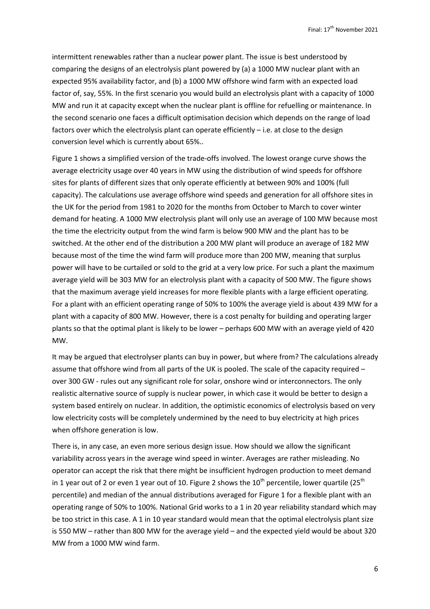intermittent renewables rather than a nuclear power plant. The issue is best understood by comparing the designs of an electrolysis plant powered by (a) a 1000 MW nuclear plant with an expected 95% availability factor, and (b) a 1000 MW offshore wind farm with an expected load factor of, say, 55%. In the first scenario you would build an electrolysis plant with a capacity of 1000 MW and run it at capacity except when the nuclear plant is offline for refuelling or maintenance. In the second scenario one faces a difficult optimisation decision which depends on the range of load factors over which the electrolysis plant can operate efficiently – i.e. at close to the design conversion level which is currently about 65%..

Figure 1 shows a simplified version of the trade-offs involved. The lowest orange curve shows the average electricity usage over 40 years in MW using the distribution of wind speeds for offshore sites for plants of different sizes that only operate efficiently at between 90% and 100% (full capacity). The calculations use average offshore wind speeds and generation for all offshore sites in the UK for the period from 1981 to 2020 for the months from October to March to cover winter demand for heating. A 1000 MW electrolysis plant will only use an average of 100 MW because most the time the electricity output from the wind farm is below 900 MW and the plant has to be switched. At the other end of the distribution a 200 MW plant will produce an average of 182 MW because most of the time the wind farm will produce more than 200 MW, meaning that surplus power will have to be curtailed or sold to the grid at a very low price. For such a plant the maximum average yield will be 303 MW for an electrolysis plant with a capacity of 500 MW. The figure shows that the maximum average yield increases for more flexible plants with a large efficient operating. For a plant with an efficient operating range of 50% to 100% the average yield is about 439 MW for a plant with a capacity of 800 MW. However, there is a cost penalty for building and operating larger plants so that the optimal plant is likely to be lower – perhaps 600 MW with an average yield of 420 MW.

It may be argued that electrolyser plants can buy in power, but where from? The calculations already assume that offshore wind from all parts of the UK is pooled. The scale of the capacity required – over 300 GW - rules out any significant role for solar, onshore wind or interconnectors. The only realistic alternative source of supply is nuclear power, in which case it would be better to design a system based entirely on nuclear. In addition, the optimistic economics of electrolysis based on very low electricity costs will be completely undermined by the need to buy electricity at high prices when offshore generation is low.

There is, in any case, an even more serious design issue. How should we allow the significant variability across years in the average wind speed in winter. Averages are rather misleading. No operator can accept the risk that there might be insufficient hydrogen production to meet demand in 1 year out of 2 or even 1 year out of 10. Figure 2 shows the  $10^{th}$  percentile, lower quartile (25<sup>th</sup> percentile) and median of the annual distributions averaged for Figure 1 for a flexible plant with an operating range of 50% to 100%. National Grid works to a 1 in 20 year reliability standard which may be too strict in this case. A 1 in 10 year standard would mean that the optimal electrolysis plant size is 550 MW – rather than 800 MW for the average yield – and the expected yield would be about 320 MW from a 1000 MW wind farm.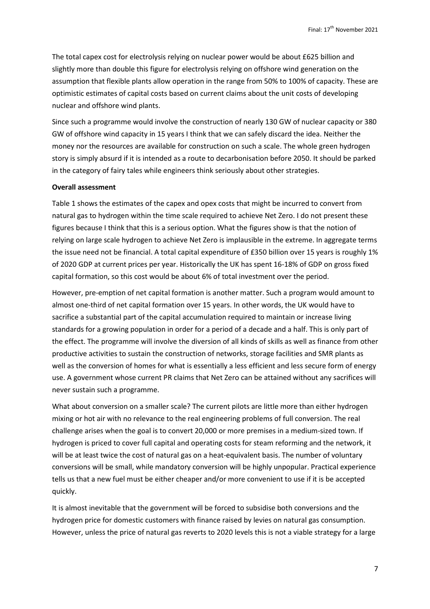The total capex cost for electrolysis relying on nuclear power would be about £625 billion and slightly more than double this figure for electrolysis relying on offshore wind generation on the assumption that flexible plants allow operation in the range from 50% to 100% of capacity. These are optimistic estimates of capital costs based on current claims about the unit costs of developing nuclear and offshore wind plants.

Since such a programme would involve the construction of nearly 130 GW of nuclear capacity or 380 GW of offshore wind capacity in 15 years I think that we can safely discard the idea. Neither the money nor the resources are available for construction on such a scale. The whole green hydrogen story is simply absurd if it is intended as a route to decarbonisation before 2050. It should be parked in the category of fairy tales while engineers think seriously about other strategies.

#### **Overall assessment**

Table 1 shows the estimates of the capex and opex costs that might be incurred to convert from natural gas to hydrogen within the time scale required to achieve Net Zero. I do not present these figures because I think that this is a serious option. What the figures show is that the notion of relying on large scale hydrogen to achieve Net Zero is implausible in the extreme. In aggregate terms the issue need not be financial. A total capital expenditure of £350 billion over 15 years is roughly 1% of 2020 GDP at current prices per year. Historically the UK has spent 16-18% of GDP on gross fixed capital formation, so this cost would be about 6% of total investment over the period.

However, pre-emption of net capital formation is another matter. Such a program would amount to almost one-third of net capital formation over 15 years. In other words, the UK would have to sacrifice a substantial part of the capital accumulation required to maintain or increase living standards for a growing population in order for a period of a decade and a half. This is only part of the effect. The programme will involve the diversion of all kinds of skills as well as finance from other productive activities to sustain the construction of networks, storage facilities and SMR plants as well as the conversion of homes for what is essentially a less efficient and less secure form of energy use. A government whose current PR claims that Net Zero can be attained without any sacrifices will never sustain such a programme.

What about conversion on a smaller scale? The current pilots are little more than either hydrogen mixing or hot air with no relevance to the real engineering problems of full conversion. The real challenge arises when the goal is to convert 20,000 or more premises in a medium-sized town. If hydrogen is priced to cover full capital and operating costs for steam reforming and the network, it will be at least twice the cost of natural gas on a heat-equivalent basis. The number of voluntary conversions will be small, while mandatory conversion will be highly unpopular. Practical experience tells us that a new fuel must be either cheaper and/or more convenient to use if it is be accepted quickly.

It is almost inevitable that the government will be forced to subsidise both conversions and the hydrogen price for domestic customers with finance raised by levies on natural gas consumption. However, unless the price of natural gas reverts to 2020 levels this is not a viable strategy for a large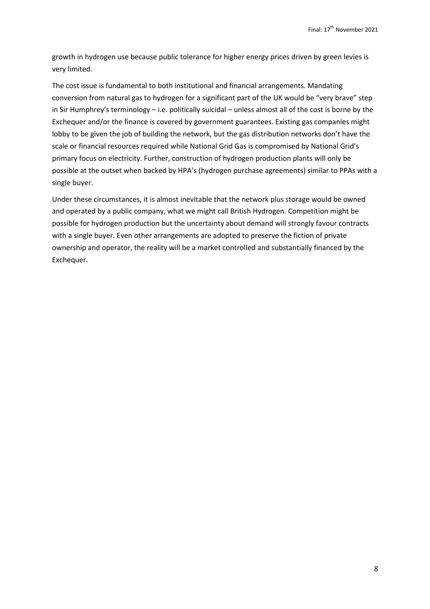growth in hydrogen use because public tolerance for higher energy prices driven by green levies is very limited.

The cost issue is fundamental to both institutional and financial arrangements. Mandating conversion from natural gas to hydrogen for a significant part of the UK would be "very brave" step in Sir Humphrey's terminology – i.e. politically suicidal – unless almost all of the cost is borne by the Exchequer and/or the finance is covered by government guarantees. Existing gas companies might lobby to be given the job of building the network, but the gas distribution networks don't have the scale or financial resources required while National Grid Gas is compromised by National Grid's primary focus on electricity. Further, construction of hydrogen production plants will only be possible at the outset when backed by HPA's (hydrogen purchase agreements) similar to PPAs with a single buyer.

Under these circumstances, it is almost inevitable that the network plus storage would be owned and operated by a public company, what we might call British Hydrogen. Competition might be possible for hydrogen production but the uncertainty about demand will strongly favour contracts with a single buyer. Even other arrangements are adopted to preserve the fiction of private ownership and operator, the reality will be a market controlled and substantially financed by the Exchequer.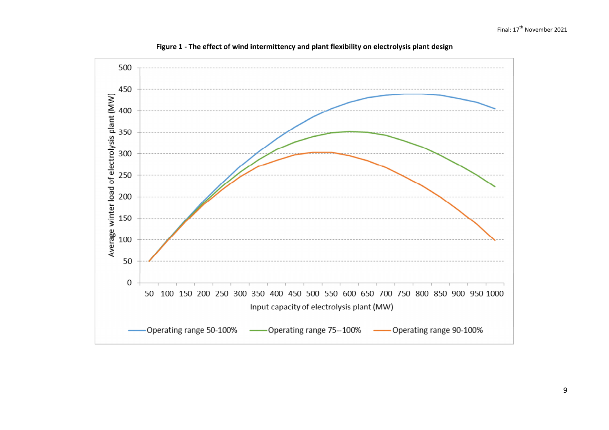

**Figure 1 - The effect of wind intermittency and plant flexibility on electrolysis plant design**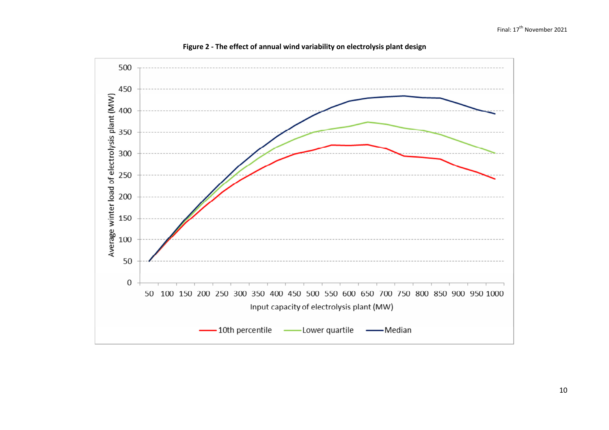

**Figure 2 - The effect of annual wind variability on electrolysis plant design**